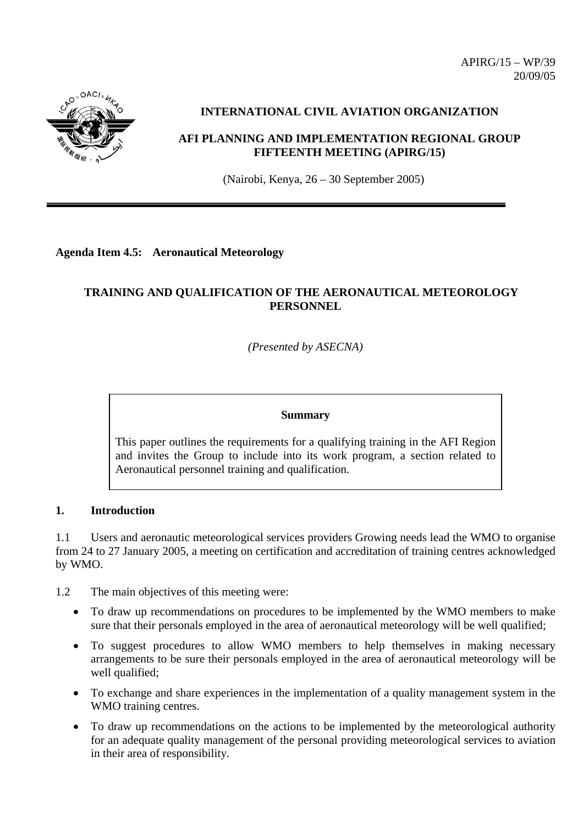

# **INTERNATIONAL CIVIL AVIATION ORGANIZATION**

# **AFI PLANNING AND IMPLEMENTATION REGIONAL GROUP FIFTEENTH MEETING (APIRG/15)**

(Nairobi, Kenya, 26 – 30 September 2005)

## **Agenda Item 4.5: Aeronautical Meteorology**

# **TRAINING AND QUALIFICATION OF THE AERONAUTICAL METEOROLOGY PERSONNEL**

*(Presented by ASECNA)* 

#### **Summary**

This paper outlines the requirements for a qualifying training in the AFI Region and invites the Group to include into its work program, a section related to Aeronautical personnel training and qualification.

## **1. Introduction**

1.1 Users and aeronautic meteorological services providers Growing needs lead the WMO to organise from 24 to 27 January 2005, a meeting on certification and accreditation of training centres acknowledged by WMO.

1.2 The main objectives of this meeting were:

- To draw up recommendations on procedures to be implemented by the WMO members to make sure that their personals employed in the area of aeronautical meteorology will be well qualified;
- To suggest procedures to allow WMO members to help themselves in making necessary arrangements to be sure their personals employed in the area of aeronautical meteorology will be well qualified;
- To exchange and share experiences in the implementation of a quality management system in the WMO training centres.
- To draw up recommendations on the actions to be implemented by the meteorological authority for an adequate quality management of the personal providing meteorological services to aviation in their area of responsibility.